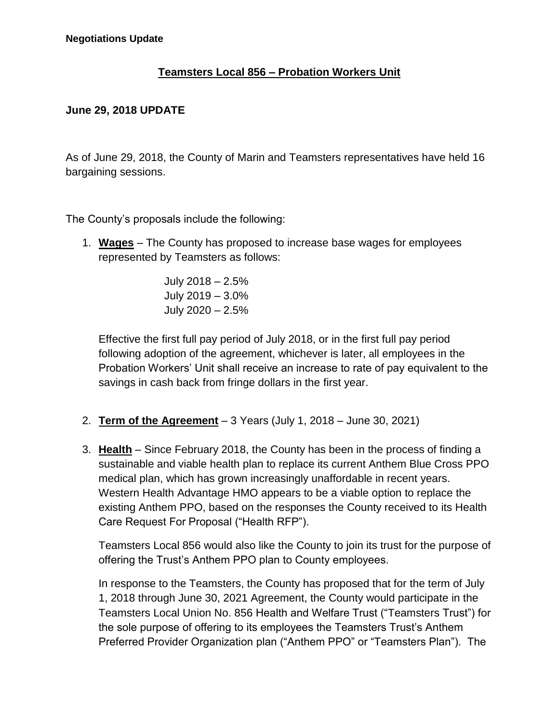## **Teamsters Local 856 – Probation Workers Unit**

## **June 29, 2018 UPDATE**

As of June 29, 2018, the County of Marin and Teamsters representatives have held 16 bargaining sessions.

The County's proposals include the following:

1. **Wages** – The County has proposed to increase base wages for employees represented by Teamsters as follows:

> July 2018 – 2.5% July 2019 – 3.0% July 2020 – 2.5%

Effective the first full pay period of July 2018, or in the first full pay period following adoption of the agreement, whichever is later, all employees in the Probation Workers' Unit shall receive an increase to rate of pay equivalent to the savings in cash back from fringe dollars in the first year.

- 2. **Term of the Agreement** 3 Years (July 1, 2018 June 30, 2021)
- 3. **Health** Since February 2018, the County has been in the process of finding a sustainable and viable health plan to replace its current Anthem Blue Cross PPO medical plan, which has grown increasingly unaffordable in recent years. Western Health Advantage HMO appears to be a viable option to replace the existing Anthem PPO, based on the responses the County received to its Health Care Request For Proposal ("Health RFP").

Teamsters Local 856 would also like the County to join its trust for the purpose of offering the Trust's Anthem PPO plan to County employees.

In response to the Teamsters, the County has proposed that for the term of July 1, 2018 through June 30, 2021 Agreement, the County would participate in the Teamsters Local Union No. 856 Health and Welfare Trust ("Teamsters Trust") for the sole purpose of offering to its employees the Teamsters Trust's Anthem Preferred Provider Organization plan ("Anthem PPO" or "Teamsters Plan"). The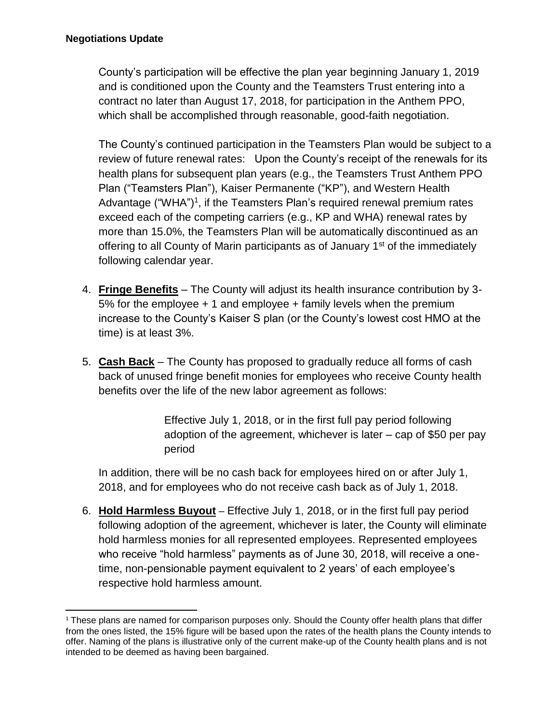County's participation will be effective the plan year beginning January 1, 2019 and is conditioned upon the County and the Teamsters Trust entering into a contract no later than August 17, 2018, for participation in the Anthem PPO, which shall be accomplished through reasonable, good-faith negotiation.

The County's continued participation in the Teamsters Plan would be subject to a review of future renewal rates: Upon the County's receipt of the renewals for its health plans for subsequent plan years (e.g., the Teamsters Trust Anthem PPO Plan ("Teamsters Plan"), Kaiser Permanente ("KP"), and Western Health Advantage ("WHA")<sup>1</sup>, if the Teamsters Plan's required renewal premium rates exceed each of the competing carriers (e.g., KP and WHA) renewal rates by more than 15.0%, the Teamsters Plan will be automatically discontinued as an offering to all County of Marin participants as of January  $1<sup>st</sup>$  of the immediately following calendar year.

- 4. **Fringe Benefits** The County will adjust its health insurance contribution by 3- 5% for the employee  $+1$  and employee  $+$  family levels when the premium increase to the County's Kaiser S plan (or the County's lowest cost HMO at the time) is at least 3%.
- 5. **Cash Back** The County has proposed to gradually reduce all forms of cash back of unused fringe benefit monies for employees who receive County health benefits over the life of the new labor agreement as follows:

Effective July 1, 2018, or in the first full pay period following adoption of the agreement, whichever is later – cap of \$50 per pay period

In addition, there will be no cash back for employees hired on or after July 1, 2018, and for employees who do not receive cash back as of July 1, 2018.

6. **Hold Harmless Buyout** – Effective July 1, 2018, or in the first full pay period following adoption of the agreement, whichever is later, the County will eliminate hold harmless monies for all represented employees. Represented employees who receive "hold harmless" payments as of June 30, 2018, will receive a onetime, non-pensionable payment equivalent to 2 years' of each employee's respective hold harmless amount.

<sup>&</sup>lt;sup>1</sup> These plans are named for comparison purposes only. Should the County offer health plans that differ from the ones listed, the 15% figure will be based upon the rates of the health plans the County intends to offer. Naming of the plans is illustrative only of the current make-up of the County health plans and is not intended to be deemed as having been bargained.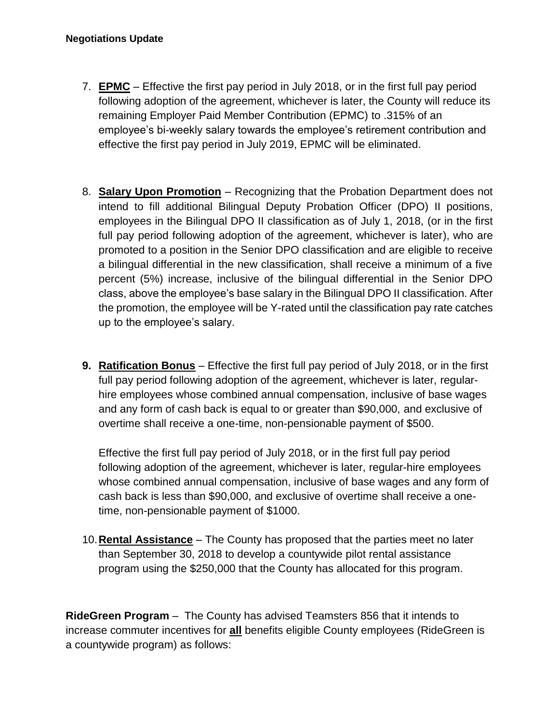- 7. **EPMC** Effective the first pay period in July 2018, or in the first full pay period following adoption of the agreement, whichever is later, the County will reduce its remaining Employer Paid Member Contribution (EPMC) to .315% of an employee's bi-weekly salary towards the employee's retirement contribution and effective the first pay period in July 2019, EPMC will be eliminated.
- 8. **Salary Upon Promotion** Recognizing that the Probation Department does not intend to fill additional Bilingual Deputy Probation Officer (DPO) II positions, employees in the Bilingual DPO II classification as of July 1, 2018, (or in the first full pay period following adoption of the agreement, whichever is later), who are promoted to a position in the Senior DPO classification and are eligible to receive a bilingual differential in the new classification, shall receive a minimum of a five percent (5%) increase, inclusive of the bilingual differential in the Senior DPO class, above the employee's base salary in the Bilingual DPO II classification. After the promotion, the employee will be Y-rated until the classification pay rate catches up to the employee's salary.
- **9. Ratification Bonus** Effective the first full pay period of July 2018, or in the first full pay period following adoption of the agreement, whichever is later, regularhire employees whose combined annual compensation, inclusive of base wages and any form of cash back is equal to or greater than \$90,000, and exclusive of overtime shall receive a one-time, non-pensionable payment of \$500.

Effective the first full pay period of July 2018, or in the first full pay period following adoption of the agreement, whichever is later, regular-hire employees whose combined annual compensation, inclusive of base wages and any form of cash back is less than \$90,000, and exclusive of overtime shall receive a onetime, non-pensionable payment of \$1000.

10.**Rental Assistance** – The County has proposed that the parties meet no later than September 30, 2018 to develop a countywide pilot rental assistance program using the \$250,000 that the County has allocated for this program.

**RideGreen Program** – The County has advised Teamsters 856 that it intends to increase commuter incentives for **all** benefits eligible County employees (RideGreen is a countywide program) as follows: